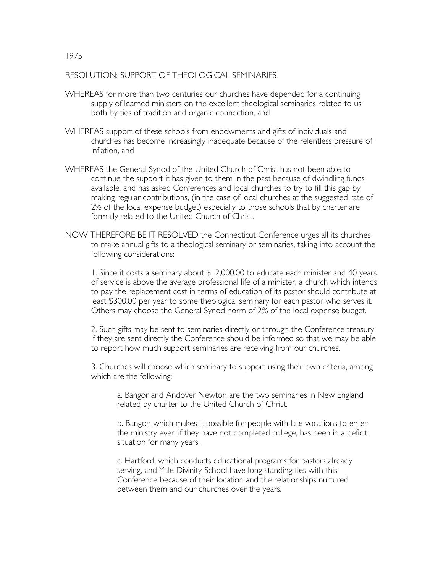## RESOLUTION: SUPPORT OF THEOLOGICAL SEMINARIES

- WHEREAS for more than two centuries our churches have depended for a continuing supply of learned ministers on the excellent theological seminaries related to us both by ties of tradition and organic connection, and
- WHEREAS support of these schools from endowments and gifts of individuals and churches has become increasingly inadequate because of the relentless pressure of inflation, and
- WHEREAS the General Synod of the United Church of Christ has not been able to continue the support it has given to them in the past because of dwindling funds available, and has asked Conferences and local churches to try to fill this gap by making regular contributions, (in the case of local churches at the suggested rate of 2% of the local expense budget) especially to those schools that by charter are formally related to the United Church of Christ,
- NOW THEREFORE BE IT RESOLVED the Connecticut Conference urges all its churches to make annual gifts to a theological seminary or seminaries, taking into account the following considerations:

1. Since it costs a seminary about \$12,000.00 to educate each minister and 40 years of service is above the average professional life of a minister, a church which intends to pay the replacement cost in terms of education of its pastor should contribute at least \$300.00 per year to some theological seminary for each pastor who serves it. Others may choose the General Synod norm of 2% of the local expense budget.

2. Such gifts may be sent to seminaries directly or through the Conference treasury; if they are sent directly the Conference should be informed so that we may be able to report how much support seminaries are receiving from our churches.

3. Churches will choose which seminary to support using their own criteria, among which are the following:

a. Bangor and Andover Newton are the two seminaries in New England related by charter to the United Church of Christ.

b. Bangor, which makes it possible for people with late vocations to enter the ministry even if they have not completed college, has been in a deficit situation for many years.

c. Hartford, which conducts educational programs for pastors already serving, and Yale Divinity School have long standing ties with this Conference because of their location and the relationships nurtured between them and our churches over the years.

1975